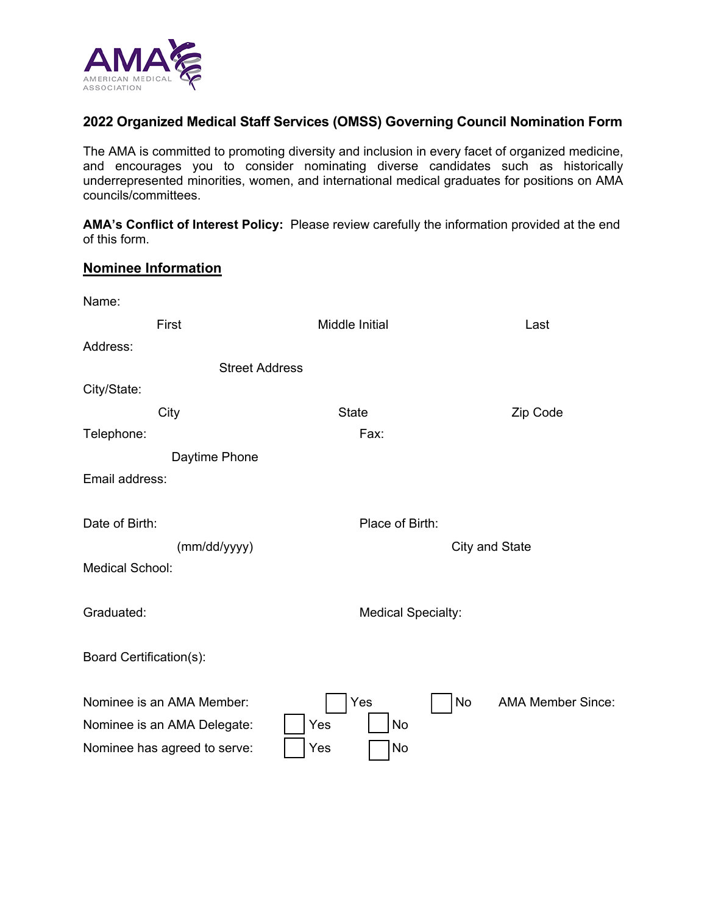

# **2022 Organized Medical Staff Services (OMSS) Governing Council Nomination Form**

The AMA is committed to promoting diversity and inclusion in every facet of organized medicine, and encourages you to consider nominating diverse candidates such as historically underrepresented minorities, women, and international medical graduates for positions on AMA councils/committees.

**AMA's Conflict of Interest Policy:** Please review carefully the information provided at the end of this form.

# **Nominee Information**

| Name:                        |                           |                                |  |  |
|------------------------------|---------------------------|--------------------------------|--|--|
| First                        | <b>Middle Initial</b>     | Last                           |  |  |
| Address:                     |                           |                                |  |  |
| <b>Street Address</b>        |                           |                                |  |  |
| City/State:                  |                           |                                |  |  |
| City                         | <b>State</b>              | Zip Code                       |  |  |
| Telephone:                   | Fax:                      |                                |  |  |
| Daytime Phone                |                           |                                |  |  |
| Email address:               |                           |                                |  |  |
|                              |                           |                                |  |  |
| Date of Birth:               | Place of Birth:           |                                |  |  |
| (mm/dd/yyyy)                 | City and State            |                                |  |  |
| <b>Medical School:</b>       |                           |                                |  |  |
|                              |                           |                                |  |  |
| Graduated:                   | <b>Medical Specialty:</b> |                                |  |  |
|                              |                           |                                |  |  |
| Board Certification(s):      |                           |                                |  |  |
|                              |                           |                                |  |  |
| Nominee is an AMA Member:    | Yes                       | No<br><b>AMA Member Since:</b> |  |  |
| Nominee is an AMA Delegate:  | Yes<br>No                 |                                |  |  |
| Nominee has agreed to serve: | Yes<br>No                 |                                |  |  |
|                              |                           |                                |  |  |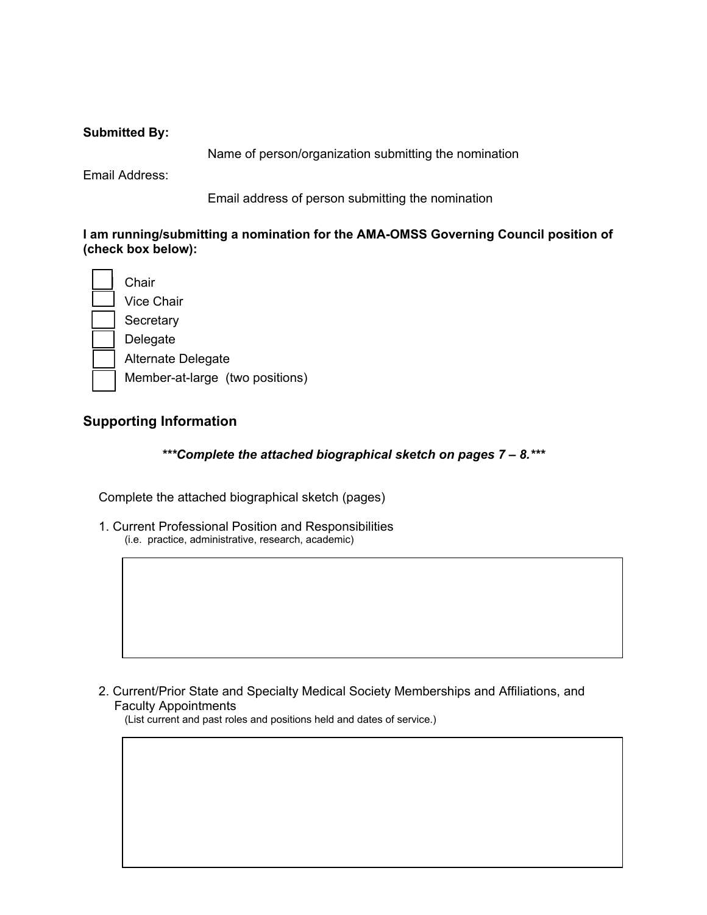### **Submitted By:**

Name of person/organization submitting the nomination

Email Address:

Email address of person submitting the nomination

**I am running/submitting a nomination for the AMA-OMSS Governing Council position of (check box below):** 

**Chair**  Vice Chair **Secretary**  Delegate Alternate Delegate Member-at-large (two positions)

# **Supporting Information**

*\*\*\*Complete the attached biographical sketch on pages 7 – 8.\*\*\**

Complete the attached biographical sketch (pages)

1. Current Professional Position and Responsibilities (i.e. practice, administrative, research, academic)

2. Current/Prior State and Specialty Medical Society Memberships and Affiliations, and Faculty Appointments

(List current and past roles and positions held and dates of service.)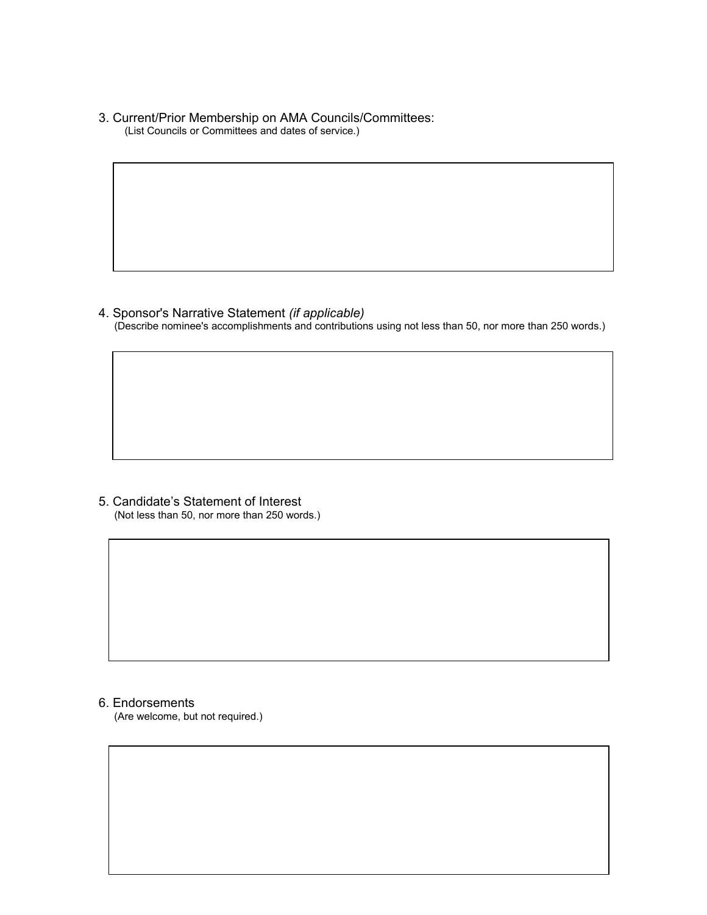3. Current/Prior Membership on AMA Councils/Committees: (List Councils or Committees and dates of service.)

#### 4. Sponsor's Narrative Statement *(if applicable)*

(Describe nominee's accomplishments and contributions using not less than 50, nor more than 250 words.)

5. Candidate's Statement of Interest (Not less than 50, nor more than 250 words.)

#### 6. Endorsements

(Are welcome, but not required.)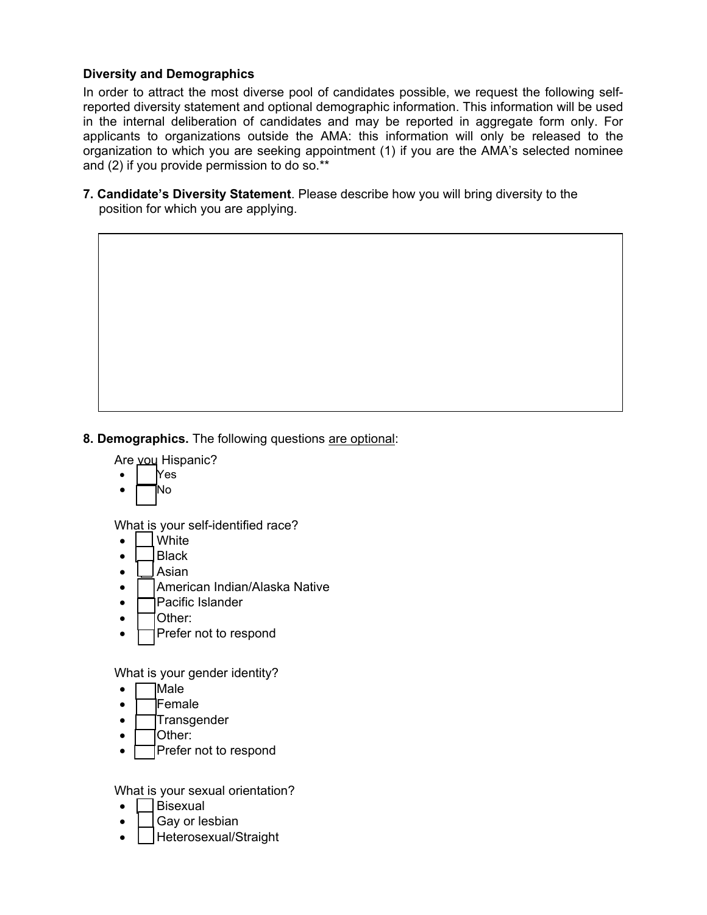# **Diversity and Demographics**

In order to attract the most diverse pool of candidates possible, we request the following selfreported diversity statement and optional demographic information. This information will be used in the internal deliberation of candidates and may be reported in aggregate form only. For applicants to organizations outside the AMA: this information will only be released to the organization to which you are seeking appointment (1) if you are the AMA's selected nominee and (2) if you provide permission to do so.\*\*

**7. Candidate's Diversity Statement**. Please describe how you will bring diversity to the position for which you are applying.

**8. Demographics.** The following questions are optional:

Are you Hispanic?

- $|$  Yes
- $\Box$ No

What is your self-identified race?

- **White**
- $\bullet$  Black
- $\bullet$  | Asian
- $\bullet$  | American Indian/Alaska Native
- $\bullet$  **Pacific Islander**
- $\bullet$   $\Box$  Other:
- $\Box$  Prefer not to respond

What is your gender identity?

- Male
- $\bullet$   $\Box$  Female
- $\bullet$   $\Box$ Transgender
- $\bullet$   $\Box$  Other:
- Prefer not to respond

What is your sexual orientation?

- Bisexual
- Gay or lesbian
- Heterosexual/Straight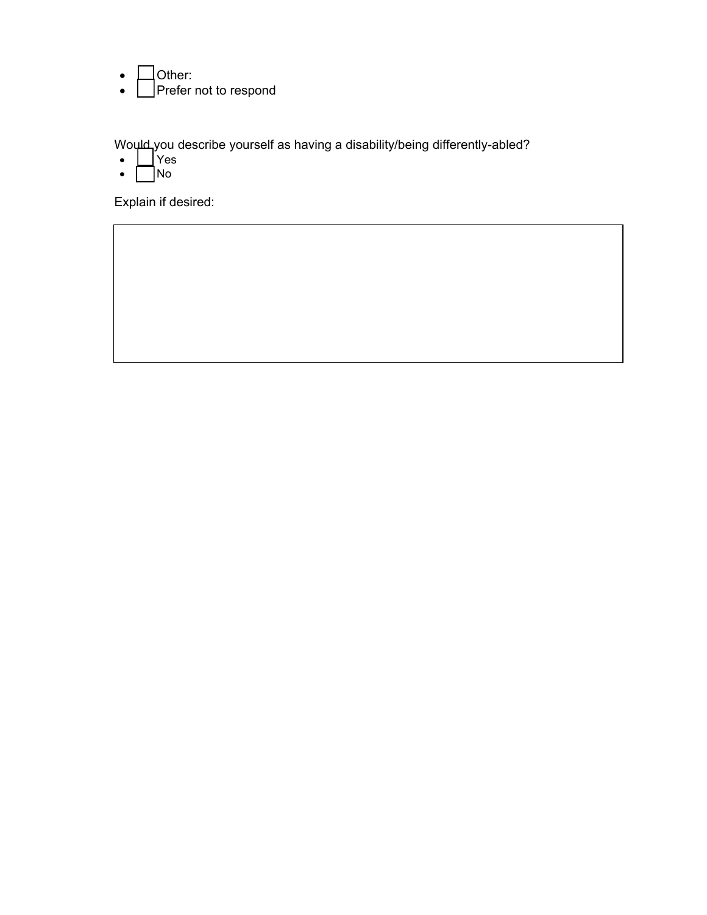- $\bullet$   $\Box$  Other:
- | Prefer not to respond

Wo $\mu$ d you describe yourself as having a disability/being differently-abled?

- Yes
- $\bullet$   $\Box$ No

Explain if desired: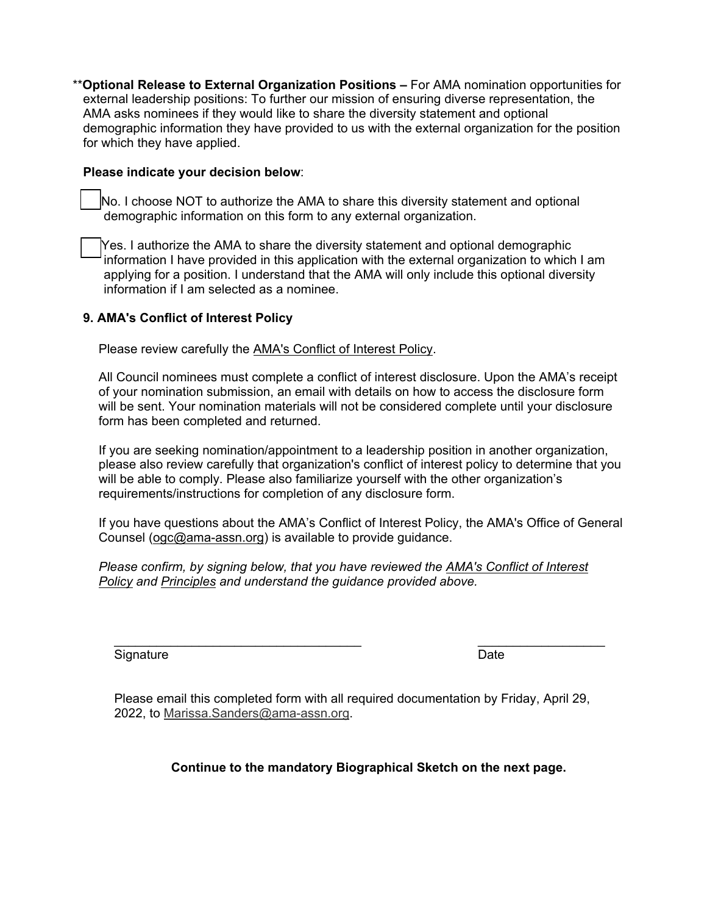\*\***Optional Release to External Organization Positions –** For AMA nomination opportunities for external leadership positions: To further our mission of ensuring diverse representation, the AMA asks nominees if they would like to share the diversity statement and optional demographic information they have provided to us with the external organization for the position for which they have applied.

#### **Please indicate your decision below**:

No. I choose NOT to authorize the AMA to share this diversity statement and optional demographic information on this form to any external organization.

Yes. I authorize the AMA to share the diversity statement and optional demographic information I have provided in this application with the external organization to which I am applying for a position. I understand that the AMA will only include this optional diversity information if I am selected as a nominee.

# **9. AMA's Conflict of Interest Policy**

Please review carefully the **AMA's Conflict of Interest Policy**.

All Council nominees must complete a conflict of interest disclosure. Upon the AMA's receipt of your nomination submission, an email with details on how to access the disclosure form will be sent. Your nomination materials will not be considered complete until your disclosure form has been completed and returned.

If you are seeking nomination/appointment to a leadership position in another organization, please also review carefully that organization's conflict of interest policy to determine that you will be able to comply. Please also familiarize yourself with the other organization's requirements/instructions for completion of any disclosure form.

If you have questions about the AMA's Conflict of Interest Policy, the AMA's Office of General Counsel [\(ogc@ama-assn.org\)](mailto:ogc@ama-assn.org) is available to provide guidance.

*Please confirm, by signing below, that you have reviewed the [AMA's Conflict of Interest](https://www.ama-assn.org/ama-conflict-interest-policy)  [Policy](https://www.ama-assn.org/ama-conflict-interest-policy) and Principles and understand the guidance provided above.*

 $\_$  , and the set of the set of the set of the set of the set of the set of the set of the set of the set of the set of the set of the set of the set of the set of the set of the set of the set of the set of the set of th Signature Date **Date** 

Please email this completed form with all required documentation by Friday, April 29, 2022, to [Marissa.Sanders@ama-assn.org.](mailto:Marissa.Sanders@ama-assn.org)

**Continue to the mandatory Biographical Sketch on the next page.**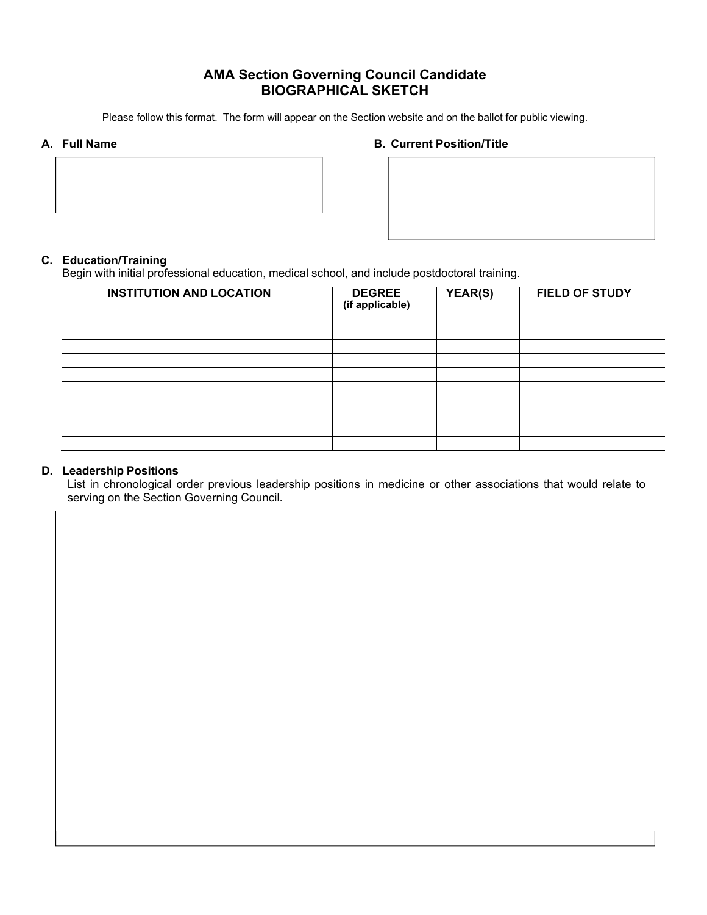# **AMA Section Governing Council Candidate BIOGRAPHICAL SKETCH**

Please follow this format. The form will appear on the Section website and on the ballot for public viewing.

#### **A. Full Name B. Current Position/Title**



### **C. Education/Training**

Begin with initial professional education, medical school, and include postdoctoral training.

| <b>INSTITUTION AND LOCATION</b> | <b>DEGREE</b><br>(if applicable) | YEAR(S) | <b>FIELD OF STUDY</b> |
|---------------------------------|----------------------------------|---------|-----------------------|
|                                 |                                  |         |                       |
|                                 |                                  |         |                       |
|                                 |                                  |         |                       |
|                                 |                                  |         |                       |
|                                 |                                  |         |                       |
|                                 |                                  |         |                       |
|                                 |                                  |         |                       |
|                                 |                                  |         |                       |
|                                 |                                  |         |                       |
|                                 |                                  |         |                       |

#### **D. Leadership Positions**

List in chronological order previous leadership positions in medicine or other associations that would relate to serving on the Section Governing Council.